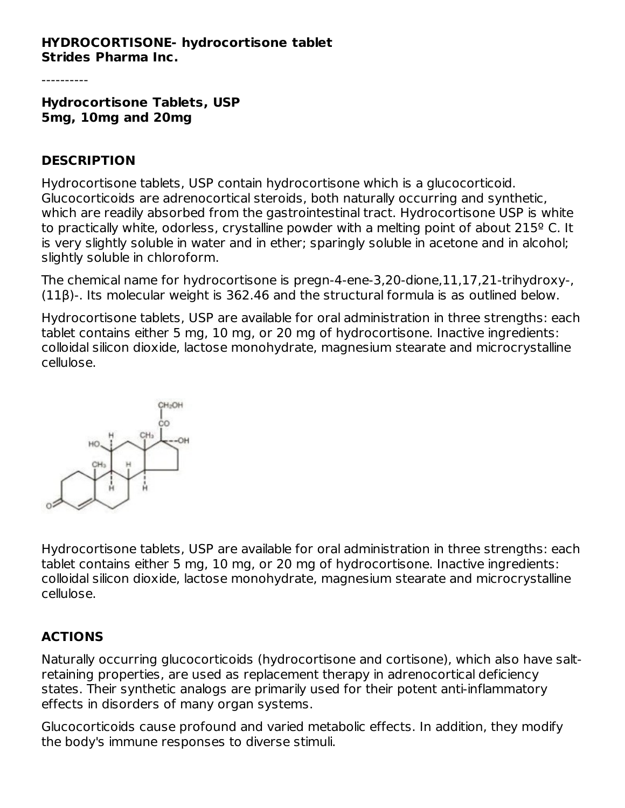#### **HYDROCORTISONE- hydrocortisone tablet Strides Pharma Inc.**

----------

**Hydrocortisone Tablets, USP 5mg, 10mg and 20mg**

#### **DESCRIPTION**

Hydrocortisone tablets, USP contain hydrocortisone which is a glucocorticoid. Glucocorticoids are adrenocortical steroids, both naturally occurring and synthetic, which are readily absorbed from the gastrointestinal tract. Hydrocortisone USP is white to practically white, odorless, crystalline powder with a melting point of about 215º C. It is very slightly soluble in water and in ether; sparingly soluble in acetone and in alcohol; slightly soluble in chloroform.

The chemical name for hydrocortisone is pregn-4-ene-3,20-dione,11,17,21-trihydroxy-, (11β)-. Its molecular weight is 362.46 and the structural formula is as outlined below.

Hydrocortisone tablets, USP are available for oral administration in three strengths: each tablet contains either 5 mg, 10 mg, or 20 mg of hydrocortisone. Inactive ingredients: colloidal silicon dioxide, lactose monohydrate, magnesium stearate and microcrystalline cellulose.



Hydrocortisone tablets, USP are available for oral administration in three strengths: each tablet contains either 5 mg, 10 mg, or 20 mg of hydrocortisone. Inactive ingredients: colloidal silicon dioxide, lactose monohydrate, magnesium stearate and microcrystalline cellulose.

## **ACTIONS**

Naturally occurring glucocorticoids (hydrocortisone and cortisone), which also have saltretaining properties, are used as replacement therapy in adrenocortical deficiency states. Their synthetic analogs are primarily used for their potent anti-inflammatory effects in disorders of many organ systems.

Glucocorticoids cause profound and varied metabolic effects. In addition, they modify the body's immune responses to diverse stimuli.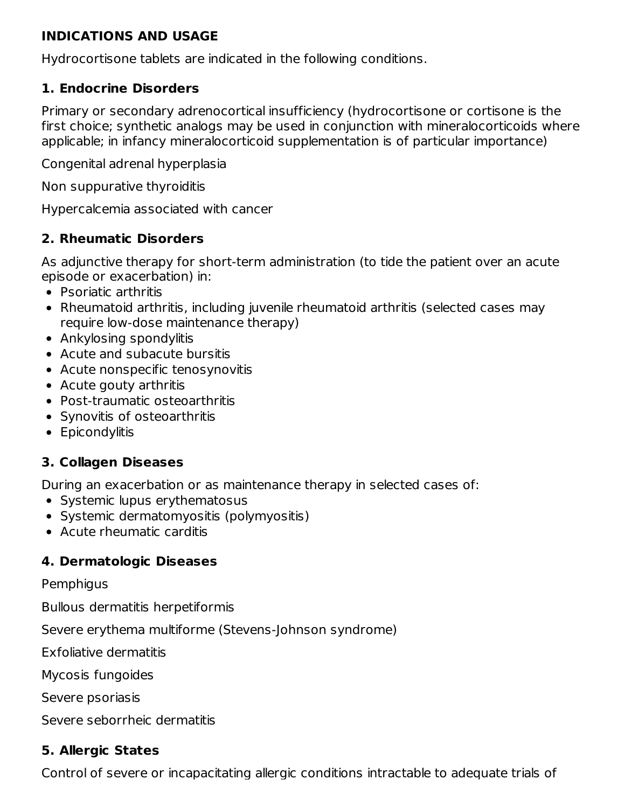#### **INDICATIONS AND USAGE**

Hydrocortisone tablets are indicated in the following conditions.

## **1. Endocrine Disorders**

Primary or secondary adrenocortical insufficiency (hydrocortisone or cortisone is the first choice; synthetic analogs may be used in conjunction with mineralocorticoids where applicable; in infancy mineralocorticoid supplementation is of particular importance)

Congenital adrenal hyperplasia

Non suppurative thyroiditis

Hypercalcemia associated with cancer

# **2. Rheumatic Disorders**

As adjunctive therapy for short-term administration (to tide the patient over an acute episode or exacerbation) in:

- Psoriatic arthritis
- Rheumatoid arthritis, including juvenile rheumatoid arthritis (selected cases may require low-dose maintenance therapy)
- Ankylosing spondylitis
- Acute and subacute bursitis
- Acute nonspecific tenosynovitis
- Acute gouty arthritis
- Post-traumatic osteoarthritis
- Synovitis of osteoarthritis
- **•** Epicondylitis

## **3. Collagen Diseases**

During an exacerbation or as maintenance therapy in selected cases of:

- Systemic lupus erythematosus
- Systemic dermatomyositis (polymyositis)
- Acute rheumatic carditis

## **4. Dermatologic Diseases**

#### **Pemphigus**

Bullous dermatitis herpetiformis

Severe erythema multiforme (Stevens-Johnson syndrome)

Exfoliative dermatitis

Mycosis fungoides

Severe psoriasis

Severe seborrheic dermatitis

## **5. Allergic States**

Control of severe or incapacitating allergic conditions intractable to adequate trials of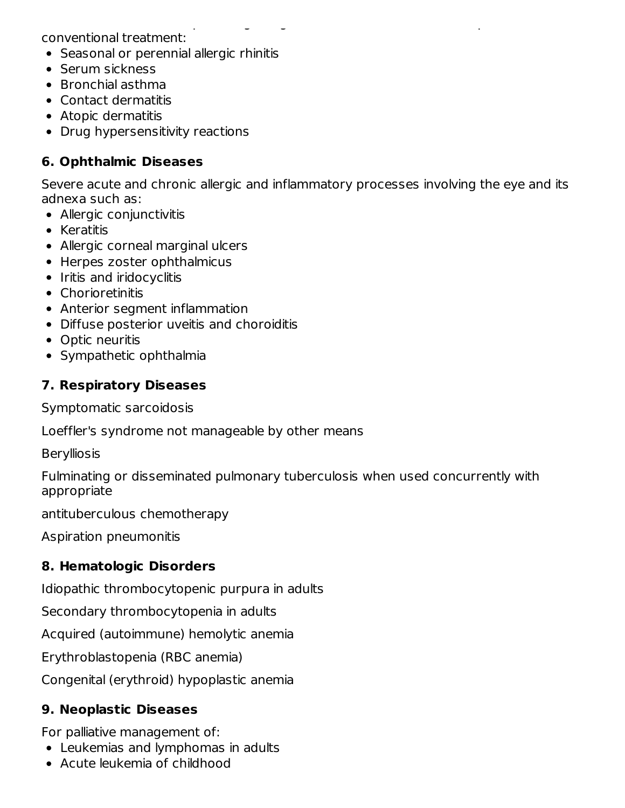conventional treatment:

- Seasonal or perennial allergic rhinitis
- Serum sickness
- Bronchial asthma
- Contact dermatitis
- Atopic dermatitis
- Drug hypersensitivity reactions

## **6. Ophthalmic Diseases**

Severe acute and chronic allergic and inflammatory processes involving the eye and its adnexa such as:

Control of severe or incapacitating allergic conditions intractable to adequate trials of

- Allergic conjunctivitis
- Keratitis
- Allergic corneal marginal ulcers
- Herpes zoster ophthalmicus
- Iritis and iridocyclitis
- Chorioretinitis
- Anterior segment inflammation
- Diffuse posterior uveitis and choroiditis
- Optic neuritis
- Sympathetic ophthalmia

# **7. Respiratory Diseases**

Symptomatic sarcoidosis

Loeffler's syndrome not manageable by other means

**Berylliosis** 

Fulminating or disseminated pulmonary tuberculosis when used concurrently with appropriate

antituberculous chemotherapy

Aspiration pneumonitis

## **8. Hematologic Disorders**

Idiopathic thrombocytopenic purpura in adults

Secondary thrombocytopenia in adults

Acquired (autoimmune) hemolytic anemia

Erythroblastopenia (RBC anemia)

Congenital (erythroid) hypoplastic anemia

# **9. Neoplastic Diseases**

For palliative management of:

- Leukemias and lymphomas in adults
- Acute leukemia of childhood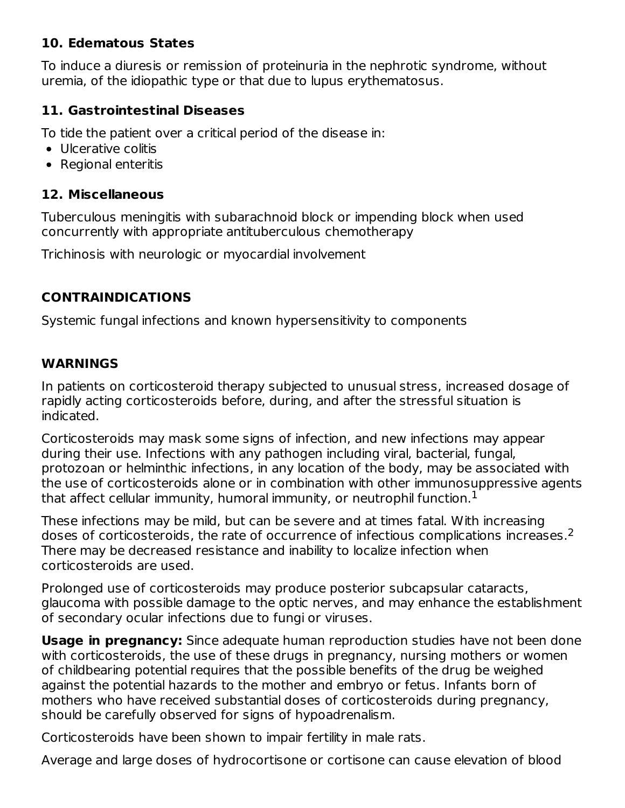#### **10. Edematous States**

To induce a diuresis or remission of proteinuria in the nephrotic syndrome, without uremia, of the idiopathic type or that due to lupus erythematosus.

#### **11. Gastrointestinal Diseases**

To tide the patient over a critical period of the disease in:

- Ulcerative colitis
- Regional enteritis

#### **12. Miscellaneous**

Tuberculous meningitis with subarachnoid block or impending block when used concurrently with appropriate antituberculous chemotherapy

Trichinosis with neurologic or myocardial involvement

#### **CONTRAINDICATIONS**

Systemic fungal infections and known hypersensitivity to components

#### **WARNINGS**

In patients on corticosteroid therapy subjected to unusual stress, increased dosage of rapidly acting corticosteroids before, during, and after the stressful situation is indicated.

Corticosteroids may mask some signs of infection, and new infections may appear during their use. Infections with any pathogen including viral, bacterial, fungal, protozoan or helminthic infections, in any location of the body, may be associated with the use of corticosteroids alone or in combination with other immunosuppressive agents that affect cellular immunity, humoral immunity, or neutrophil function. $^{\rm 1}$ 

These infections may be mild, but can be severe and at times fatal. With increasing doses of corticosteroids, the rate of occurrence of infectious complications increases. 2There may be decreased resistance and inability to localize infection when corticosteroids are used.

Prolonged use of corticosteroids may produce posterior subcapsular cataracts, glaucoma with possible damage to the optic nerves, and may enhance the establishment of secondary ocular infections due to fungi or viruses.

**Usage in pregnancy:** Since adequate human reproduction studies have not been done with corticosteroids, the use of these drugs in pregnancy, nursing mothers or women of childbearing potential requires that the possible benefits of the drug be weighed against the potential hazards to the mother and embryo or fetus. Infants born of mothers who have received substantial doses of corticosteroids during pregnancy, should be carefully observed for signs of hypoadrenalism.

Corticosteroids have been shown to impair fertility in male rats.

Average and large doses of hydrocortisone or cortisone can cause elevation of blood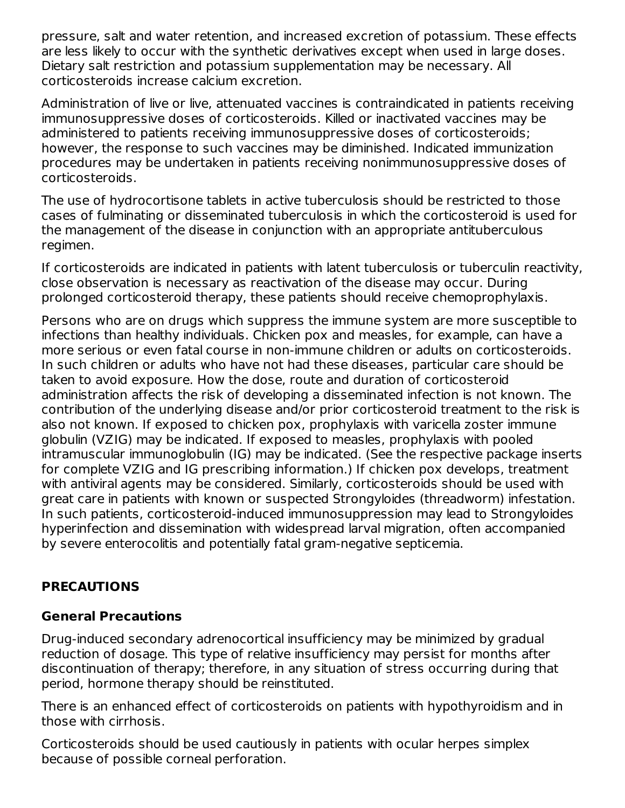pressure, salt and water retention, and increased excretion of potassium. These effects are less likely to occur with the synthetic derivatives except when used in large doses. Dietary salt restriction and potassium supplementation may be necessary. All corticosteroids increase calcium excretion.

Administration of live or live, attenuated vaccines is contraindicated in patients receiving immunosuppressive doses of corticosteroids. Killed or inactivated vaccines may be administered to patients receiving immunosuppressive doses of corticosteroids; however, the response to such vaccines may be diminished. Indicated immunization procedures may be undertaken in patients receiving nonimmunosuppressive doses of corticosteroids.

The use of hydrocortisone tablets in active tuberculosis should be restricted to those cases of fulminating or disseminated tuberculosis in which the corticosteroid is used for the management of the disease in conjunction with an appropriate antituberculous regimen.

If corticosteroids are indicated in patients with latent tuberculosis or tuberculin reactivity, close observation is necessary as reactivation of the disease may occur. During prolonged corticosteroid therapy, these patients should receive chemoprophylaxis.

Persons who are on drugs which suppress the immune system are more susceptible to infections than healthy individuals. Chicken pox and measles, for example, can have a more serious or even fatal course in non-immune children or adults on corticosteroids. In such children or adults who have not had these diseases, particular care should be taken to avoid exposure. How the dose, route and duration of corticosteroid administration affects the risk of developing a disseminated infection is not known. The contribution of the underlying disease and/or prior corticosteroid treatment to the risk is also not known. If exposed to chicken pox, prophylaxis with varicella zoster immune globulin (VZIG) may be indicated. If exposed to measles, prophylaxis with pooled intramuscular immunoglobulin (IG) may be indicated. (See the respective package inserts for complete VZIG and IG prescribing information.) If chicken pox develops, treatment with antiviral agents may be considered. Similarly, corticosteroids should be used with great care in patients with known or suspected Strongyloides (threadworm) infestation. In such patients, corticosteroid-induced immunosuppression may lead to Strongyloides hyperinfection and dissemination with widespread larval migration, often accompanied by severe enterocolitis and potentially fatal gram-negative septicemia.

## **PRECAUTIONS**

#### **General Precautions**

Drug-induced secondary adrenocortical insufficiency may be minimized by gradual reduction of dosage. This type of relative insufficiency may persist for months after discontinuation of therapy; therefore, in any situation of stress occurring during that period, hormone therapy should be reinstituted.

There is an enhanced effect of corticosteroids on patients with hypothyroidism and in those with cirrhosis.

Corticosteroids should be used cautiously in patients with ocular herpes simplex because of possible corneal perforation.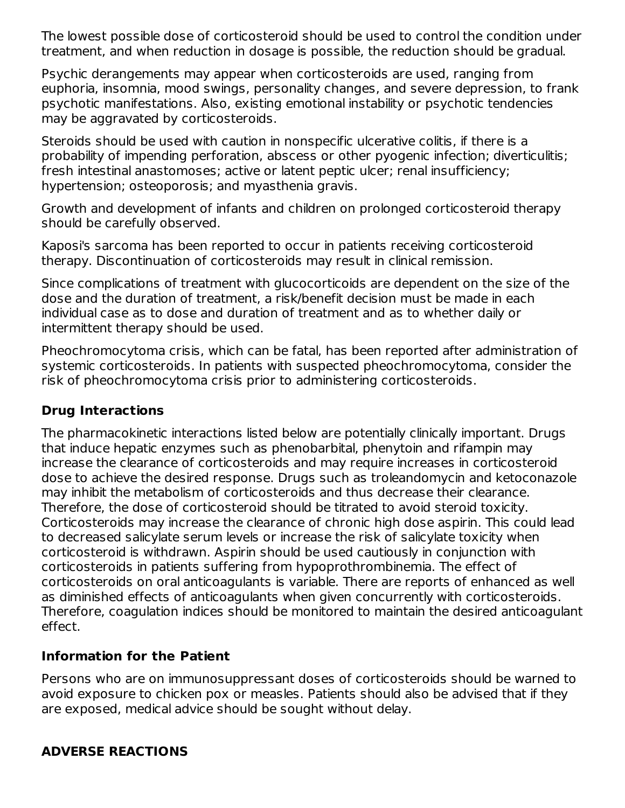The lowest possible dose of corticosteroid should be used to control the condition under treatment, and when reduction in dosage is possible, the reduction should be gradual.

Psychic derangements may appear when corticosteroids are used, ranging from euphoria, insomnia, mood swings, personality changes, and severe depression, to frank psychotic manifestations. Also, existing emotional instability or psychotic tendencies may be aggravated by corticosteroids.

Steroids should be used with caution in nonspecific ulcerative colitis, if there is a probability of impending perforation, abscess or other pyogenic infection; diverticulitis; fresh intestinal anastomoses; active or latent peptic ulcer; renal insufficiency; hypertension; osteoporosis; and myasthenia gravis.

Growth and development of infants and children on prolonged corticosteroid therapy should be carefully observed.

Kaposi's sarcoma has been reported to occur in patients receiving corticosteroid therapy. Discontinuation of corticosteroids may result in clinical remission.

Since complications of treatment with glucocorticoids are dependent on the size of the dose and the duration of treatment, a risk/benefit decision must be made in each individual case as to dose and duration of treatment and as to whether daily or intermittent therapy should be used.

Pheochromocytoma crisis, which can be fatal, has been reported after administration of systemic corticosteroids. In patients with suspected pheochromocytoma, consider the risk of pheochromocytoma crisis prior to administering corticosteroids.

#### **Drug Interactions**

The pharmacokinetic interactions listed below are potentially clinically important. Drugs that induce hepatic enzymes such as phenobarbital, phenytoin and rifampin may increase the clearance of corticosteroids and may require increases in corticosteroid dose to achieve the desired response. Drugs such as troleandomycin and ketoconazole may inhibit the metabolism of corticosteroids and thus decrease their clearance. Therefore, the dose of corticosteroid should be titrated to avoid steroid toxicity. Corticosteroids may increase the clearance of chronic high dose aspirin. This could lead to decreased salicylate serum levels or increase the risk of salicylate toxicity when corticosteroid is withdrawn. Aspirin should be used cautiously in conjunction with corticosteroids in patients suffering from hypoprothrombinemia. The effect of corticosteroids on oral anticoagulants is variable. There are reports of enhanced as well as diminished effects of anticoagulants when given concurrently with corticosteroids. Therefore, coagulation indices should be monitored to maintain the desired anticoagulant effect.

#### **Information for the Patient**

Persons who are on immunosuppressant doses of corticosteroids should be warned to avoid exposure to chicken pox or measles. Patients should also be advised that if they are exposed, medical advice should be sought without delay.

## **ADVERSE REACTIONS**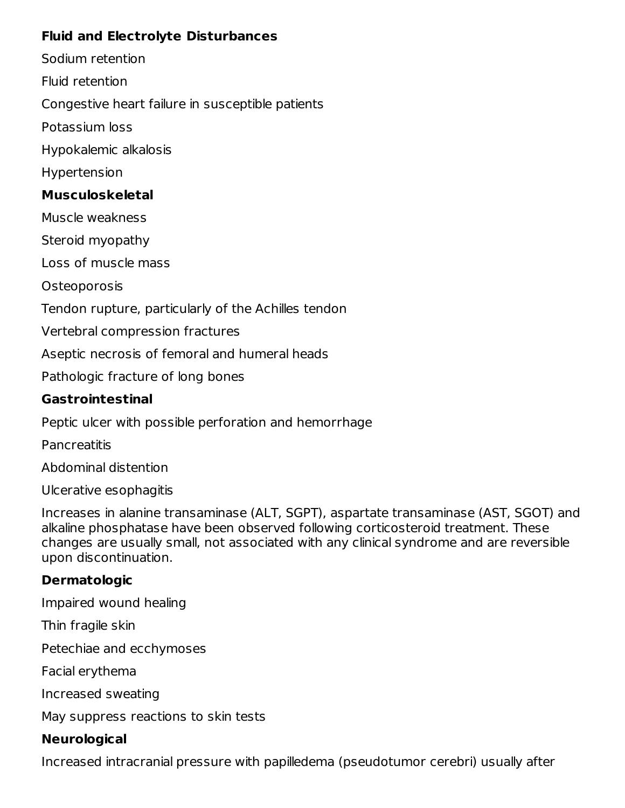## **Fluid and Electrolyte Disturbances**

Sodium retention

Fluid retention

Congestive heart failure in susceptible patients

Potassium loss

Hypokalemic alkalosis

Hypertension

# **Musculoskeletal**

Muscle weakness

Steroid myopathy

Loss of muscle mass

**Osteoporosis** 

Tendon rupture, particularly of the Achilles tendon

Vertebral compression fractures

Aseptic necrosis of femoral and humeral heads

Pathologic fracture of long bones

## **Gastrointestinal**

Peptic ulcer with possible perforation and hemorrhage

**Pancreatitis** 

Abdominal distention

Ulcerative esophagitis

Increases in alanine transaminase (ALT, SGPT), aspartate transaminase (AST, SGOT) and alkaline phosphatase have been observed following corticosteroid treatment. These changes are usually small, not associated with any clinical syndrome and are reversible upon discontinuation.

## **Dermatologic**

Impaired wound healing

Thin fragile skin

Petechiae and ecchymoses

Facial erythema

Increased sweating

May suppress reactions to skin tests

# **Neurological**

Increased intracranial pressure with papilledema (pseudotumor cerebri) usually after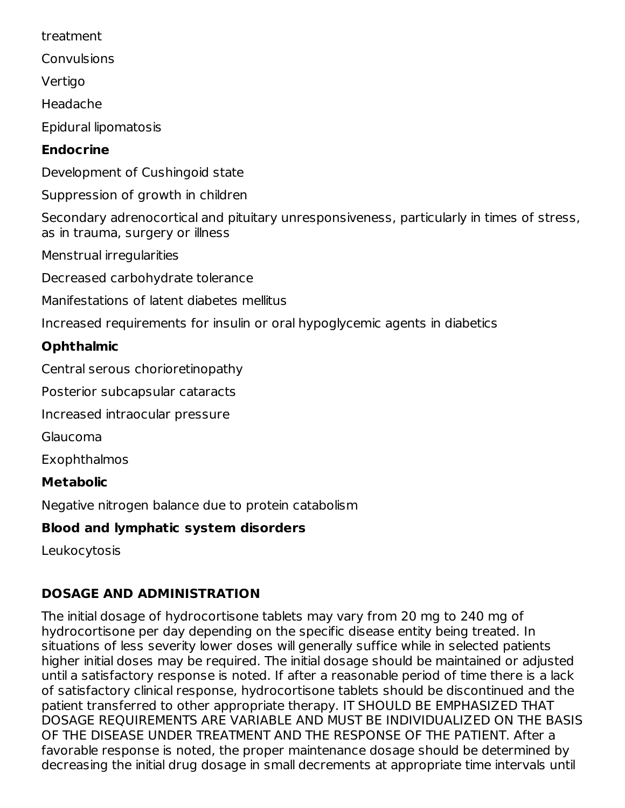treatment

Convulsions

Vertigo

Headache

Epidural lipomatosis

# **Endocrine**

Development of Cushingoid state

Suppression of growth in children

Secondary adrenocortical and pituitary unresponsiveness, particularly in times of stress, as in trauma, surgery or illness

Menstrual irregularities

Decreased carbohydrate tolerance

Manifestations of latent diabetes mellitus

Increased requirements for insulin or oral hypoglycemic agents in diabetics

# **Ophthalmic**

Central serous chorioretinopathy

Posterior subcapsular cataracts

Increased intraocular pressure

Glaucoma

Exophthalmos

# **Metabolic**

Negative nitrogen balance due to protein catabolism

# **Blood and lymphatic system disorders**

Leukocytosis

# **DOSAGE AND ADMINISTRATION**

The initial dosage of hydrocortisone tablets may vary from 20 mg to 240 mg of hydrocortisone per day depending on the specific disease entity being treated. In situations of less severity lower doses will generally suffice while in selected patients higher initial doses may be required. The initial dosage should be maintained or adjusted until a satisfactory response is noted. If after a reasonable period of time there is a lack of satisfactory clinical response, hydrocortisone tablets should be discontinued and the patient transferred to other appropriate therapy. IT SHOULD BE EMPHASIZED THAT DOSAGE REQUIREMENTS ARE VARIABLE AND MUST BE INDIVIDUALIZED ON THE BASIS OF THE DISEASE UNDER TREATMENT AND THE RESPONSE OF THE PATIENT. After a favorable response is noted, the proper maintenance dosage should be determined by decreasing the initial drug dosage in small decrements at appropriate time intervals until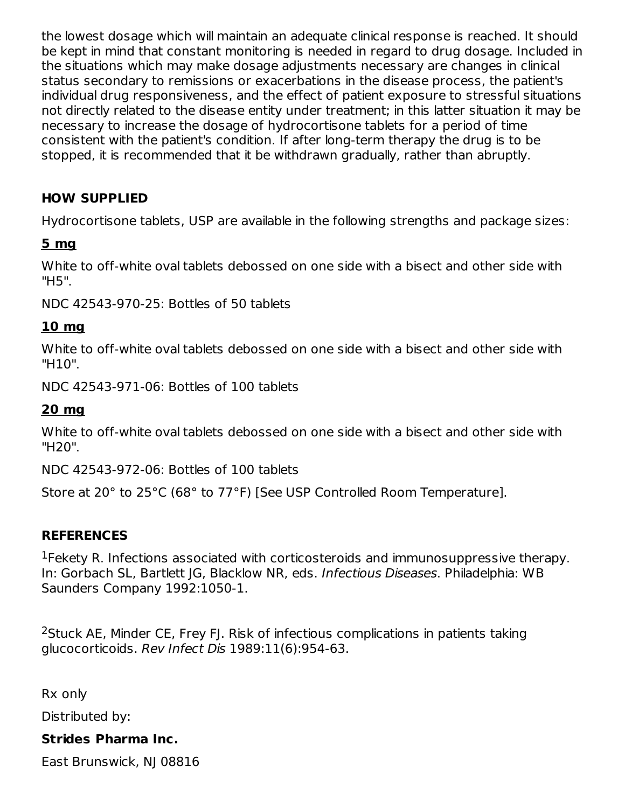the lowest dosage which will maintain an adequate clinical response is reached. It should be kept in mind that constant monitoring is needed in regard to drug dosage. Included in the situations which may make dosage adjustments necessary are changes in clinical status secondary to remissions or exacerbations in the disease process, the patient's individual drug responsiveness, and the effect of patient exposure to stressful situations not directly related to the disease entity under treatment; in this latter situation it may be necessary to increase the dosage of hydrocortisone tablets for a period of time consistent with the patient's condition. If after long-term therapy the drug is to be stopped, it is recommended that it be withdrawn gradually, rather than abruptly.

# **HOW SUPPLIED**

Hydrocortisone tablets, USP are available in the following strengths and package sizes:

#### **5 mg**

White to off-white oval tablets debossed on one side with a bisect and other side with "H5".

NDC 42543-970-25: Bottles of 50 tablets

# **10 mg**

White to off-white oval tablets debossed on one side with a bisect and other side with "H10".

NDC 42543-971-06: Bottles of 100 tablets

#### **20 mg**

White to off-white oval tablets debossed on one side with a bisect and other side with "H20".

NDC 42543-972-06: Bottles of 100 tablets

Store at 20° to 25°C (68° to 77°F) [See USP Controlled Room Temperature].

## **REFERENCES**

<sup>1</sup> Fekety R. Infections associated with corticosteroids and immunosuppressive therapy. In: Gorbach SL, Bartlett JG, Blacklow NR, eds. Infectious Diseases. Philadelphia: WB Saunders Company 1992:1050-1.

<sup>2</sup>Stuck AE, Minder CE, Frey FJ. Risk of infectious complications in patients taking glucocorticoids. Rev Infect Dis 1989:11(6):954-63.

Rx only

Distributed by:

## **Strides Pharma Inc.**

East Brunswick, NJ 08816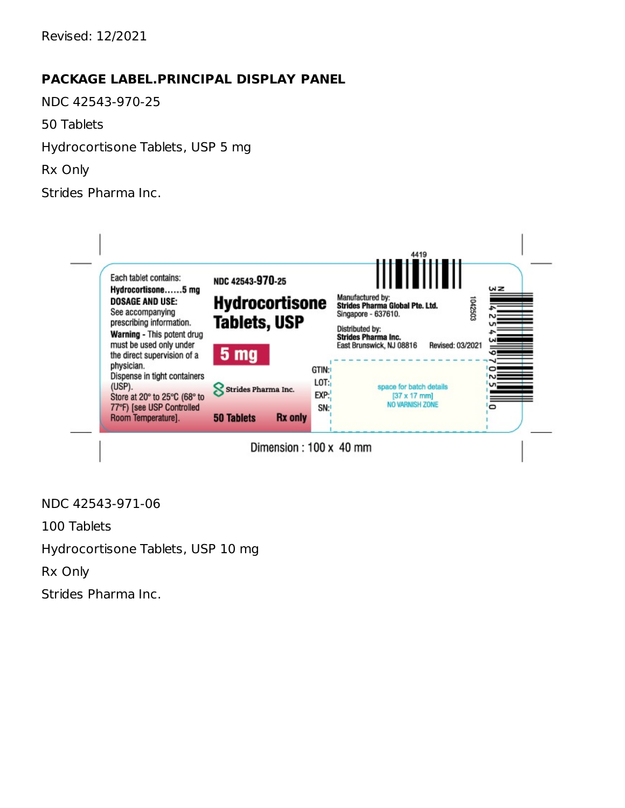Revised: 12/2021

#### **PACKAGE LABEL.PRINCIPAL DISPLAY PANEL**

NDC 42543-970-25

50 Tablets

Hydrocortisone Tablets, USP 5 mg

Rx Only

Strides Pharma Inc.



NDC 42543-971-06

100 Tablets

Hydrocortisone Tablets, USP 10 mg

Rx Only

Strides Pharma Inc.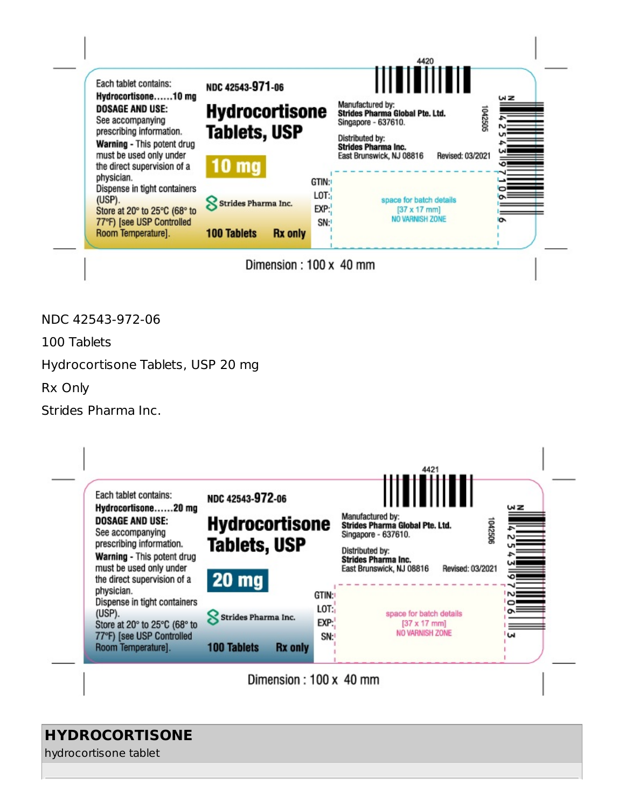

Dimension: 100 x 40 mm

NDC 42543-972-06

100 Tablets

Hydrocortisone Tablets, USP 20 mg

Rx Only

Strides Pharma Inc.

| Each tablet contains:<br>Hydrocortisone20 mg                                                                                                                   | NDC 42543-972-06                                        |                       | ᄱᆖ                                                                                                                                                                                                                      |
|----------------------------------------------------------------------------------------------------------------------------------------------------------------|---------------------------------------------------------|-----------------------|-------------------------------------------------------------------------------------------------------------------------------------------------------------------------------------------------------------------------|
| <b>DOSAGE AND USE:</b><br>See accompanying<br>prescribing information.<br>Warning - This potent drug<br>must be used only under<br>the direct supervision of a | <b>Hydrocortisone</b><br><b>Tablets, USP</b><br>$20$ mg |                       | Manufactured by:<br><b>Formal Property</b><br>1042506<br><b>Strides Pharma Global Pte. Ltd.</b><br>Singapore - 637610.<br>Distributed by:<br><b>Strides Pharma Inc.</b><br>Revised: 03/2021<br>East Brunswick, NJ 08816 |
| physician.<br>Dispense in tight containers<br>(USP).<br>Store at 20° to 25°C (68° to                                                                           | <b>Strides Pharma Inc.</b>                              | GTIN:<br>LOT:<br>EXP: | $\overline{\mathbf{v}}$<br>$\sim$<br>space for batch details<br>$[37 \times 17$ mm]                                                                                                                                     |
| 77°F) [see USP Controlled<br>Room Temperature].                                                                                                                | <b>100 Tablets</b>                                      | SN:<br><b>Rx</b> only | NO VARNISH ZONE<br>'W                                                                                                                                                                                                   |

Dimension: 100 x 40 mm

# **HYDROCORTISONE**

hydrocortisone tablet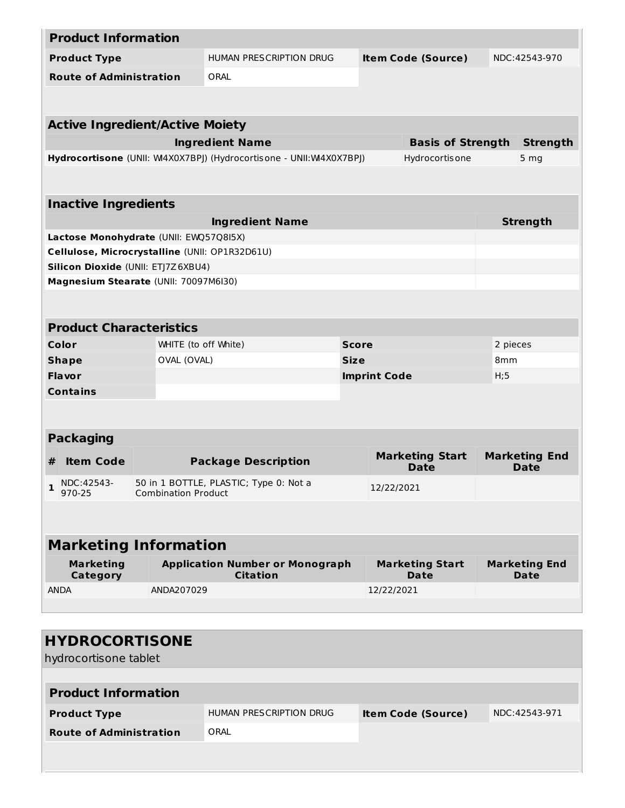|                             | <b>Product Information</b>                     |                            |                                                                     |  |                                       |                                     |                              |  |
|-----------------------------|------------------------------------------------|----------------------------|---------------------------------------------------------------------|--|---------------------------------------|-------------------------------------|------------------------------|--|
|                             | <b>Product Type</b>                            |                            | <b>HUMAN PRESCRIPTION DRUG</b>                                      |  | <b>Item Code (Source)</b>             |                                     | NDC:42543-970                |  |
|                             | <b>Route of Administration</b>                 |                            | ORAL                                                                |  |                                       |                                     |                              |  |
|                             |                                                |                            |                                                                     |  |                                       |                                     |                              |  |
|                             |                                                |                            |                                                                     |  |                                       |                                     |                              |  |
|                             | <b>Active Ingredient/Active Moiety</b>         |                            |                                                                     |  |                                       |                                     |                              |  |
|                             |                                                |                            | <b>Ingredient Name</b>                                              |  | <b>Basis of Strength</b>              | <b>Strength</b>                     |                              |  |
|                             |                                                |                            | Hydrocortisone (UNII: W4X0X7BPJ) (Hydrocortisone - UNII: W4X0X7BPJ) |  | Hydrocortis one                       |                                     | 5 <sub>mg</sub>              |  |
|                             |                                                |                            |                                                                     |  |                                       |                                     |                              |  |
|                             | <b>Inactive Ingredients</b>                    |                            |                                                                     |  |                                       |                                     |                              |  |
|                             |                                                |                            | <b>Ingredient Name</b>                                              |  |                                       |                                     | <b>Strength</b>              |  |
|                             | Lactose Monohydrate (UNII: EWQ57Q8I5X)         |                            |                                                                     |  |                                       |                                     |                              |  |
|                             | Cellulose, Microcrystalline (UNII: OP1R32D61U) |                            |                                                                     |  |                                       |                                     |                              |  |
|                             | Silicon Dioxide (UNII: ETJ7Z6XBU4)             |                            |                                                                     |  |                                       |                                     |                              |  |
|                             | Magnesium Stearate (UNII: 70097M6I30)          |                            |                                                                     |  |                                       |                                     |                              |  |
|                             |                                                |                            |                                                                     |  |                                       |                                     |                              |  |
|                             |                                                |                            |                                                                     |  |                                       |                                     |                              |  |
|                             | <b>Product Characteristics</b>                 |                            |                                                                     |  |                                       |                                     |                              |  |
|                             | Color                                          | WHITE (to off White)       | <b>Score</b>                                                        |  |                                       |                                     | 2 pieces                     |  |
| OVAL (OVAL)<br><b>Shape</b> |                                                |                            | <b>Size</b>                                                         |  |                                       |                                     | 8 <sub>mm</sub>              |  |
| Flavor                      |                                                |                            | <b>Imprint Code</b>                                                 |  |                                       |                                     | H;5                          |  |
| <b>Contains</b>             |                                                |                            |                                                                     |  |                                       |                                     |                              |  |
|                             |                                                |                            |                                                                     |  |                                       |                                     |                              |  |
|                             |                                                |                            |                                                                     |  |                                       |                                     |                              |  |
|                             | <b>Packaging</b>                               |                            |                                                                     |  |                                       |                                     |                              |  |
| #                           | <b>Item Code</b>                               |                            | <b>Package Description</b>                                          |  | <b>Marketing Start</b><br><b>Date</b> | <b>Marketing End</b><br><b>Date</b> |                              |  |
|                             | $\frac{1}{2}$ NDC:42543-                       |                            | 50 in 1 BOTTLE, PLASTIC; Type 0: Not a                              |  | 12/22/2021                            |                                     |                              |  |
|                             | 970-25                                         | <b>Combination Product</b> |                                                                     |  |                                       |                                     |                              |  |
|                             |                                                |                            |                                                                     |  |                                       |                                     |                              |  |
|                             |                                                |                            |                                                                     |  |                                       |                                     |                              |  |
|                             | <b>Marketing Information</b>                   |                            |                                                                     |  |                                       |                                     |                              |  |
|                             | <b>Marketing</b><br>Category                   |                            | <b>Application Number or Monograph</b><br><b>Citation</b>           |  | <b>Marketing Start</b><br>Date        |                                     | <b>Marketing End</b><br>Date |  |
|                             | <b>ANDA</b>                                    | ANDA207029                 |                                                                     |  | 12/22/2021                            |                                     |                              |  |
|                             |                                                |                            |                                                                     |  |                                       |                                     |                              |  |
|                             |                                                |                            |                                                                     |  |                                       |                                     |                              |  |
|                             | <b>HYDROCORTISONE</b>                          |                            |                                                                     |  |                                       |                                     |                              |  |
|                             | hydrocortisone tablet                          |                            |                                                                     |  |                                       |                                     |                              |  |
|                             |                                                |                            |                                                                     |  |                                       |                                     |                              |  |
|                             | <b>Product Information</b>                     |                            |                                                                     |  |                                       |                                     |                              |  |
|                             |                                                |                            |                                                                     |  |                                       |                                     |                              |  |
| <b>Product Type</b>         |                                                |                            | <b>HUMAN PRESCRIPTION DRUG</b>                                      |  | <b>Item Code (Source)</b>             |                                     | NDC:42543-971                |  |

**Route of Administration** ORAL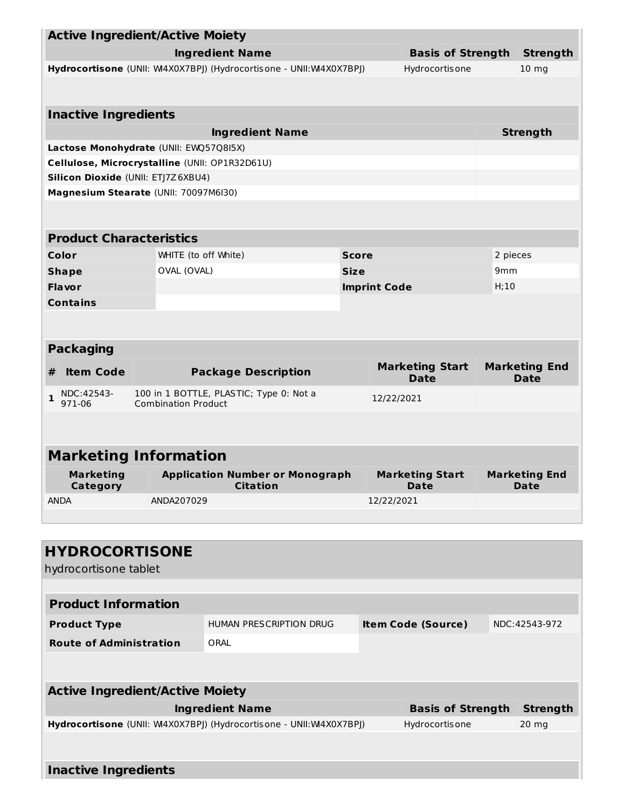|                                                                                                              | <b>Active Ingredient/Active Moiety</b>                                               |                            |                                                                     |              |                                       |                 |                                     |                 |  |
|--------------------------------------------------------------------------------------------------------------|--------------------------------------------------------------------------------------|----------------------------|---------------------------------------------------------------------|--------------|---------------------------------------|-----------------|-------------------------------------|-----------------|--|
| <b>Ingredient Name</b>                                                                                       |                                                                                      |                            |                                                                     |              | <b>Basis of Strength</b>              |                 | <b>Strength</b>                     |                 |  |
| Hydrocortisone (UNII: W4X0X7BPJ) (Hydrocortisone - UNII: W4X0X7BPJ)                                          |                                                                                      |                            |                                                                     |              | Hydrocortis one                       |                 | 10 <sub>mg</sub>                    |                 |  |
|                                                                                                              |                                                                                      |                            |                                                                     |              |                                       |                 |                                     |                 |  |
|                                                                                                              |                                                                                      |                            |                                                                     |              |                                       |                 |                                     |                 |  |
| <b>Inactive Ingredients</b>                                                                                  |                                                                                      |                            |                                                                     |              |                                       |                 |                                     |                 |  |
| <b>Ingredient Name</b>                                                                                       |                                                                                      |                            |                                                                     |              |                                       |                 |                                     | <b>Strength</b> |  |
| Lactose Monohydrate (UNII: EWQ57Q8I5X)                                                                       |                                                                                      |                            |                                                                     |              |                                       |                 |                                     |                 |  |
|                                                                                                              | Cellulose, Microcrystalline (UNII: OP1R32D61U)<br>Silicon Dioxide (UNII: ETJ7Z6XBU4) |                            |                                                                     |              |                                       |                 |                                     |                 |  |
| Magnesium Stearate (UNII: 70097M6I30)                                                                        |                                                                                      |                            |                                                                     |              |                                       |                 |                                     |                 |  |
|                                                                                                              |                                                                                      |                            |                                                                     |              |                                       |                 |                                     |                 |  |
|                                                                                                              |                                                                                      |                            |                                                                     |              |                                       |                 |                                     |                 |  |
| <b>Product Characteristics</b>                                                                               |                                                                                      |                            |                                                                     |              |                                       |                 |                                     |                 |  |
| Color                                                                                                        |                                                                                      | WHITE (to off White)       |                                                                     | <b>Score</b> |                                       |                 |                                     | 2 pieces        |  |
| <b>Shape</b>                                                                                                 |                                                                                      | OVAL (OVAL)                |                                                                     | <b>Size</b>  |                                       |                 | 9 <sub>mm</sub>                     |                 |  |
| Flavor                                                                                                       |                                                                                      |                            |                                                                     |              | <b>Imprint Code</b>                   |                 | H;10                                |                 |  |
| <b>Contains</b>                                                                                              |                                                                                      |                            |                                                                     |              |                                       |                 |                                     |                 |  |
|                                                                                                              |                                                                                      |                            |                                                                     |              |                                       |                 |                                     |                 |  |
|                                                                                                              |                                                                                      |                            |                                                                     |              |                                       |                 |                                     |                 |  |
| <b>Packaging</b>                                                                                             |                                                                                      |                            |                                                                     |              |                                       |                 |                                     |                 |  |
| <b>Item Code</b><br>#                                                                                        |                                                                                      |                            | <b>Package Description</b>                                          |              | <b>Marketing Start</b><br><b>Date</b> |                 | <b>Marketing End</b><br><b>Date</b> |                 |  |
| NDC:42543-<br>$\mathbf{1}$<br>971-06                                                                         |                                                                                      | <b>Combination Product</b> | 100 in 1 BOTTLE, PLASTIC; Type 0: Not a                             | 12/22/2021   |                                       |                 |                                     |                 |  |
|                                                                                                              |                                                                                      |                            |                                                                     |              |                                       |                 |                                     |                 |  |
|                                                                                                              |                                                                                      |                            |                                                                     |              |                                       |                 |                                     |                 |  |
| <b>Marketing Information</b>                                                                                 |                                                                                      |                            |                                                                     |              |                                       |                 |                                     |                 |  |
| <b>Marketing</b><br><b>Application Number or Monograph</b><br><b>Marketing Start</b><br><b>Marketing End</b> |                                                                                      |                            |                                                                     |              |                                       |                 |                                     |                 |  |
| Category                                                                                                     |                                                                                      |                            | <b>Citation</b>                                                     |              |                                       | Date            |                                     | <b>Date</b>     |  |
| <b>ANDA</b><br>ANDA207029                                                                                    |                                                                                      |                            |                                                                     |              | 12/22/2021                            |                 |                                     |                 |  |
|                                                                                                              |                                                                                      |                            |                                                                     |              |                                       |                 |                                     |                 |  |
|                                                                                                              |                                                                                      |                            |                                                                     |              |                                       |                 |                                     |                 |  |
| <b>HYDROCORTISONE</b>                                                                                        |                                                                                      |                            |                                                                     |              |                                       |                 |                                     |                 |  |
| hydrocortisone tablet                                                                                        |                                                                                      |                            |                                                                     |              |                                       |                 |                                     |                 |  |
|                                                                                                              |                                                                                      |                            |                                                                     |              |                                       |                 |                                     |                 |  |
| <b>Product Information</b>                                                                                   |                                                                                      |                            |                                                                     |              |                                       |                 |                                     |                 |  |
| <b>Product Type</b>                                                                                          |                                                                                      |                            | HUMAN PRESCRIPTION DRUG                                             |              | <b>Item Code (Source)</b>             |                 |                                     | NDC: 42543-972  |  |
| <b>Route of Administration</b>                                                                               |                                                                                      |                            |                                                                     |              |                                       |                 |                                     |                 |  |
|                                                                                                              |                                                                                      |                            | ORAL                                                                |              |                                       |                 |                                     |                 |  |
|                                                                                                              |                                                                                      |                            |                                                                     |              |                                       |                 |                                     |                 |  |
| <b>Active Ingredient/Active Moiety</b>                                                                       |                                                                                      |                            |                                                                     |              |                                       |                 |                                     |                 |  |
| <b>Ingredient Name</b><br><b>Basis of Strength</b>                                                           |                                                                                      |                            |                                                                     |              |                                       | <b>Strength</b> |                                     |                 |  |
|                                                                                                              |                                                                                      |                            | Hydrocortisone (UNII: W4X0X7BPJ) (Hydrocortisone - UNII: W4X0X7BPJ) |              |                                       | Hydrocortis one |                                     | $20$ mg         |  |
|                                                                                                              |                                                                                      |                            |                                                                     |              |                                       |                 |                                     |                 |  |
|                                                                                                              |                                                                                      |                            |                                                                     |              |                                       |                 |                                     |                 |  |

**Inactive Ingredients**